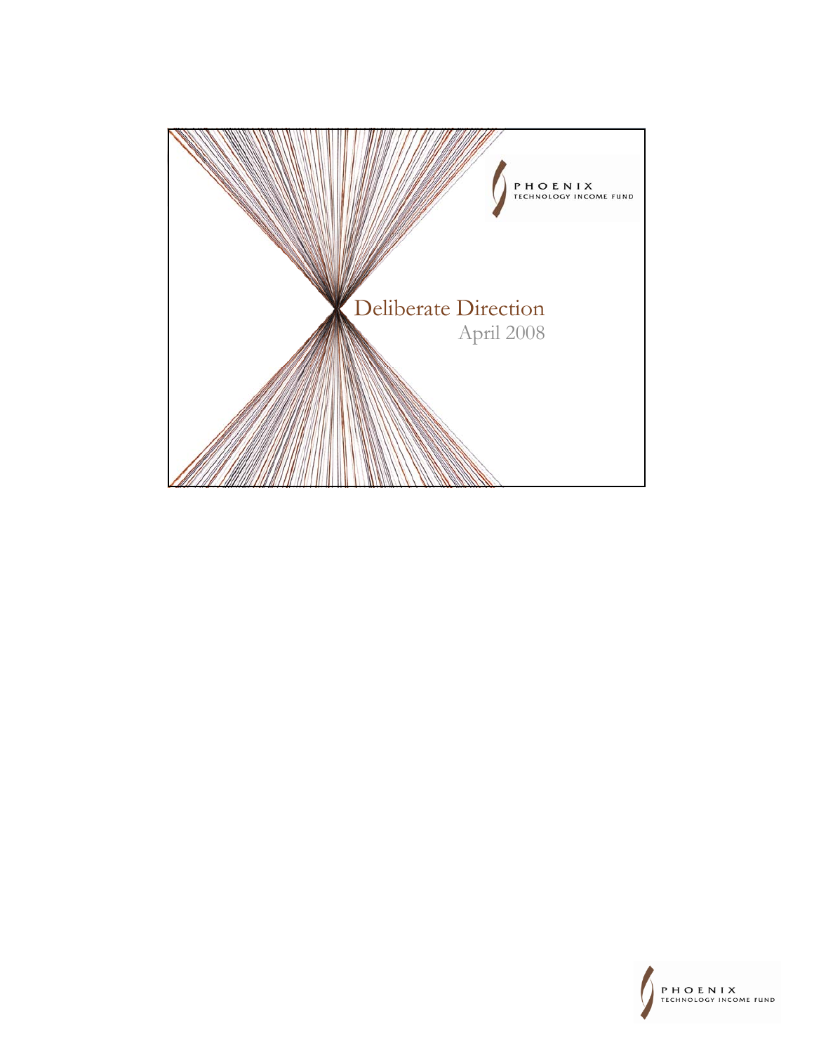

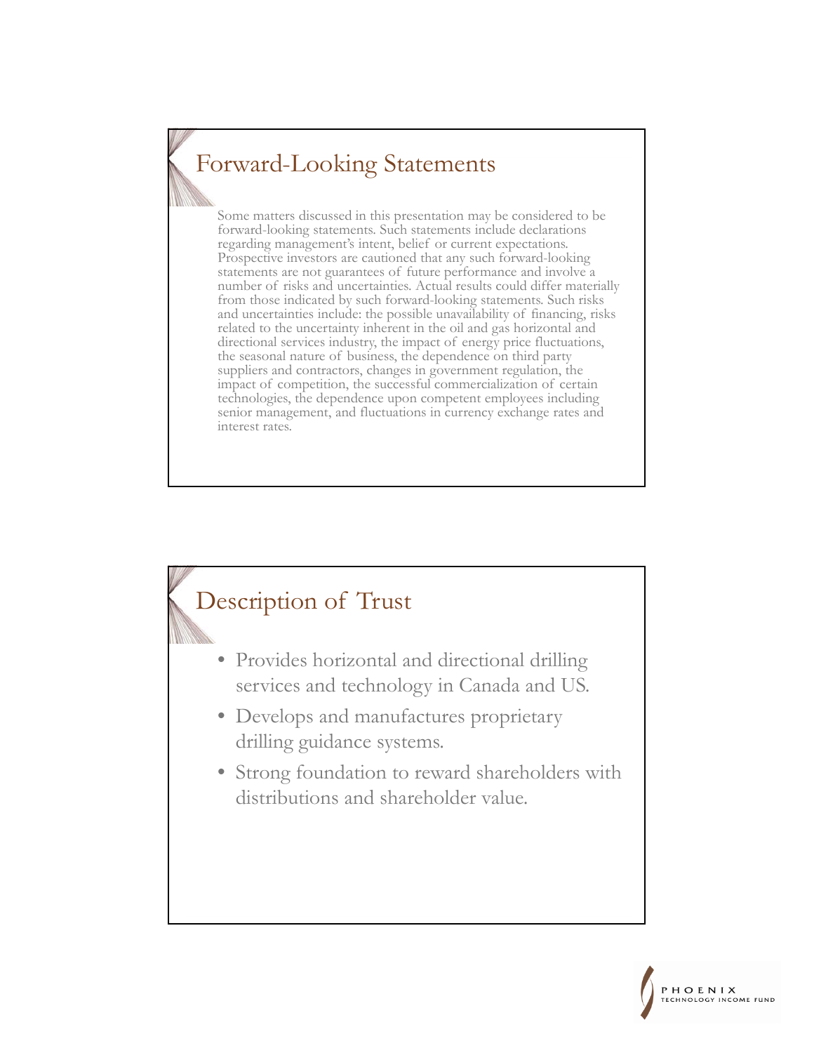## Forward-Looking Statements

Some matters discussed in this presentation may be considered to be forward-looking statements. Such statements include declarations regarding management's intent, belief or current expectations. Prospective investors are cautioned that any such forward-looking statements are not guarantees of future performance and involve a number of risks and uncertainties. Actual results could differ materially from those indicated by such forward-looking statements. Such risks and uncertainties include: the possible unavailability of financing, risks related to the uncertainty inherent in the oil and gas horizontal and directional services industry, the impact of energy price fluctuations, the seasonal nature of business, the dependence on third party suppliers and contractors, changes in government regulation, the impact of competition, the successful commercialization of certain technologies, the dependence upon competent employees including senior management, and fluctuations in currency exchange rates and interest rates.

#### Description of Trust

- Provides horizontal and directional drilling services and technology in Canada and US.
- Develops and manufactures proprietary drilling guidance systems.
- Strong foundation to reward shareholders with distributions and shareholder value.

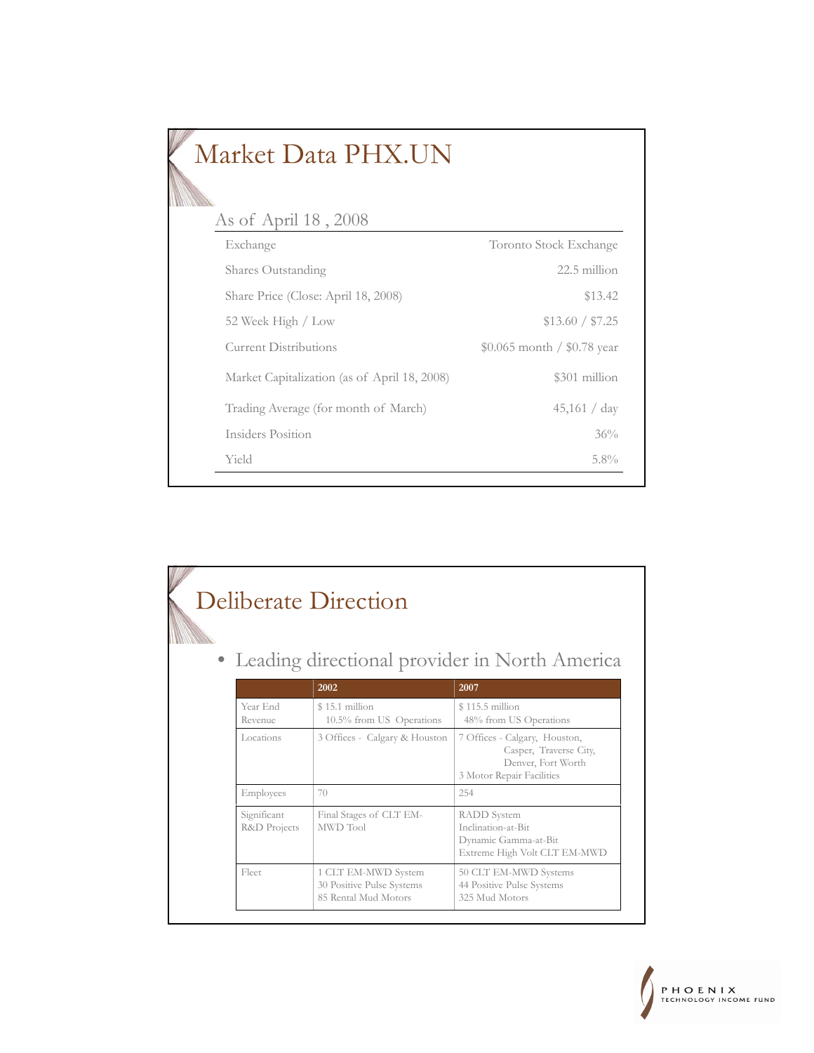| Market Data PHX.UN                           |                             |
|----------------------------------------------|-----------------------------|
| As of April 18, 2008                         |                             |
| Exchange                                     | Toronto Stock Exchange      |
| Shares Outstanding                           | 22.5 million                |
| Share Price (Close: April 18, 2008)          | \$13.42                     |
| 52 Week High / Low                           | \$13.60 / \$7.25            |
| <b>Current Distributions</b>                 | \$0.065 month / \$0.78 year |
| Market Capitalization (as of April 18, 2008) | \$301 million               |
| Trading Average (for month of March)         | 45,161 / day                |
| Insiders Position                            | 36%                         |
| Yield                                        | $5.8\%$                     |

|                             | 2002                                                                     | • Leading directional provider in North America<br>2007                                                    |
|-----------------------------|--------------------------------------------------------------------------|------------------------------------------------------------------------------------------------------------|
| Year End<br>Revenue         | $$15.1$ million<br>10.5% from US Operations                              | $$115.5$ million<br>48% from US Operations                                                                 |
| Locations                   | 3 Offices - Calgary & Houston                                            | 7 Offices - Calgary, Houston,<br>Casper, Traverse City,<br>Denver, Fort Worth<br>3 Motor Repair Facilities |
| Employees                   | 70                                                                       | 254                                                                                                        |
| Significant<br>R&D Projects | Final Stages of CLT EM-<br>MWD Tool                                      | <b>RADD</b> System<br>Inclination-at-Bit<br>Dynamic Gamma-at-Bit<br>Extreme High Volt CLT EM-MWD           |
| Fleet                       | 1 CLT EM-MWD System<br>30 Positive Pulse Systems<br>85 Rental Mud Motors | 50 CLT EM-MWD Systems<br>44 Positive Pulse Systems<br>325 Mud Motors                                       |

-1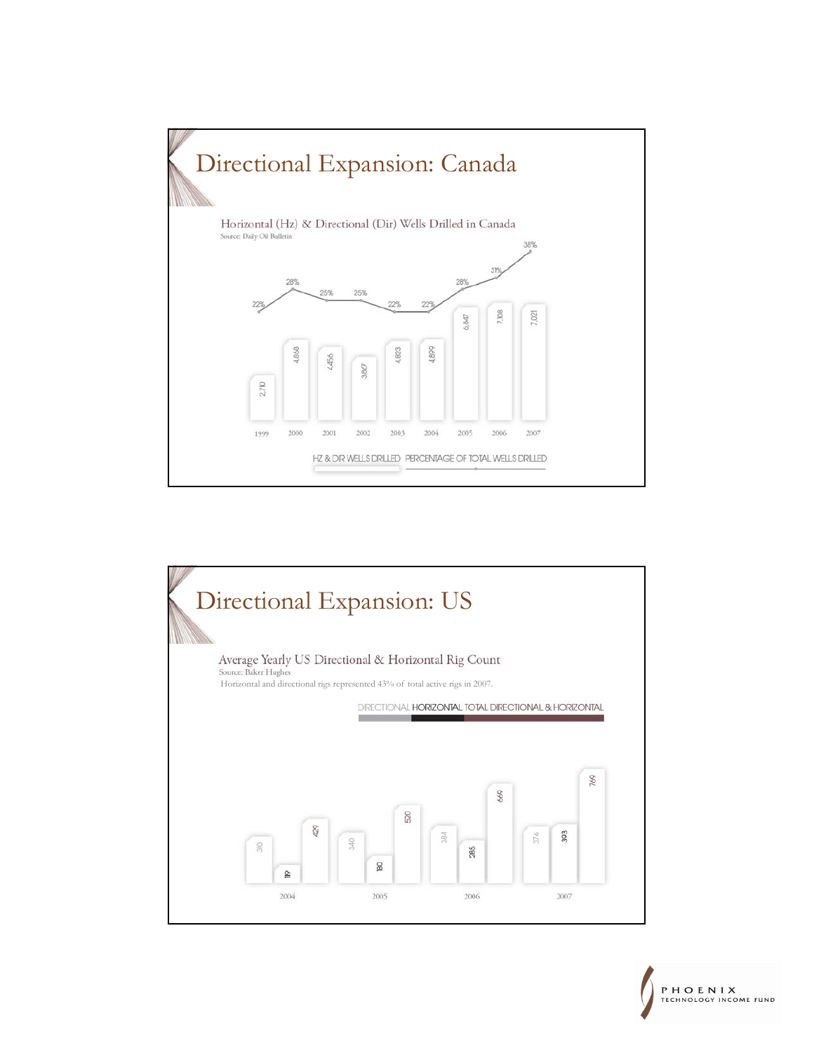

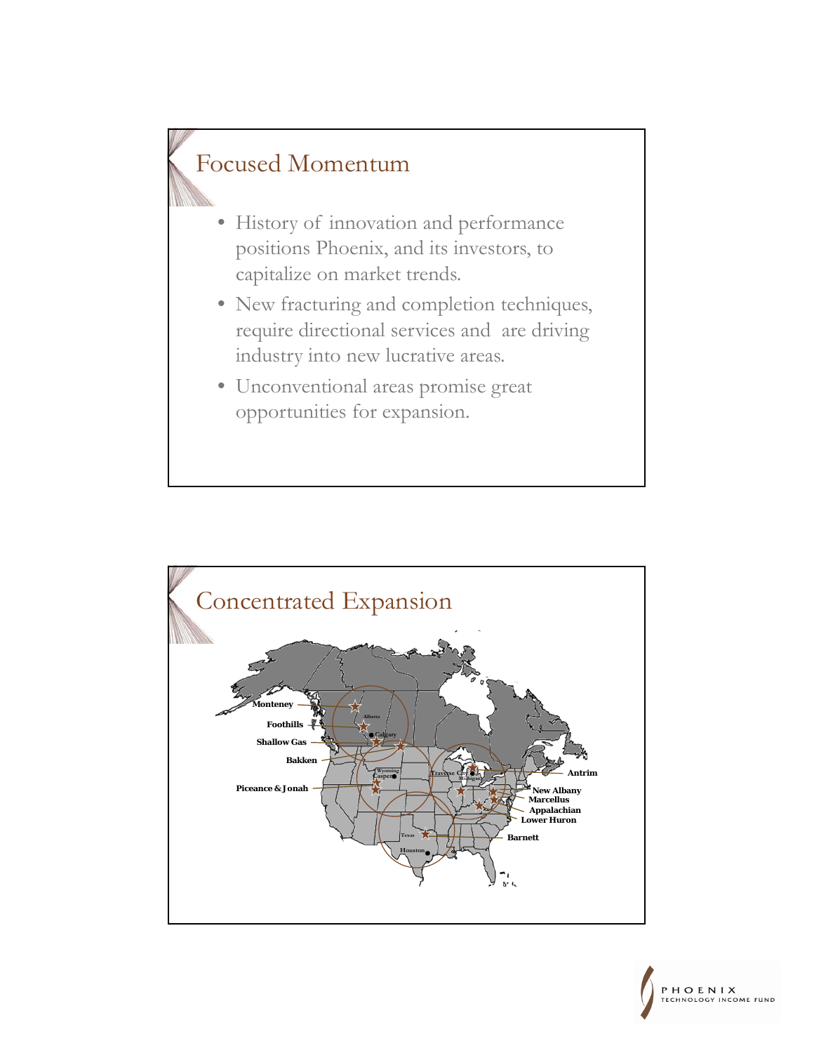### Focused Momentum

- History of innovation and performance positions Phoenix, and its investors, to capitalize on market trends.
- New fracturing and completion techniques, require directional services and are driving industry into new lucrative areas.
- Unconventional areas promise great opportunities for expansion.



PHOENIX CHNOLOGY INCOME FUND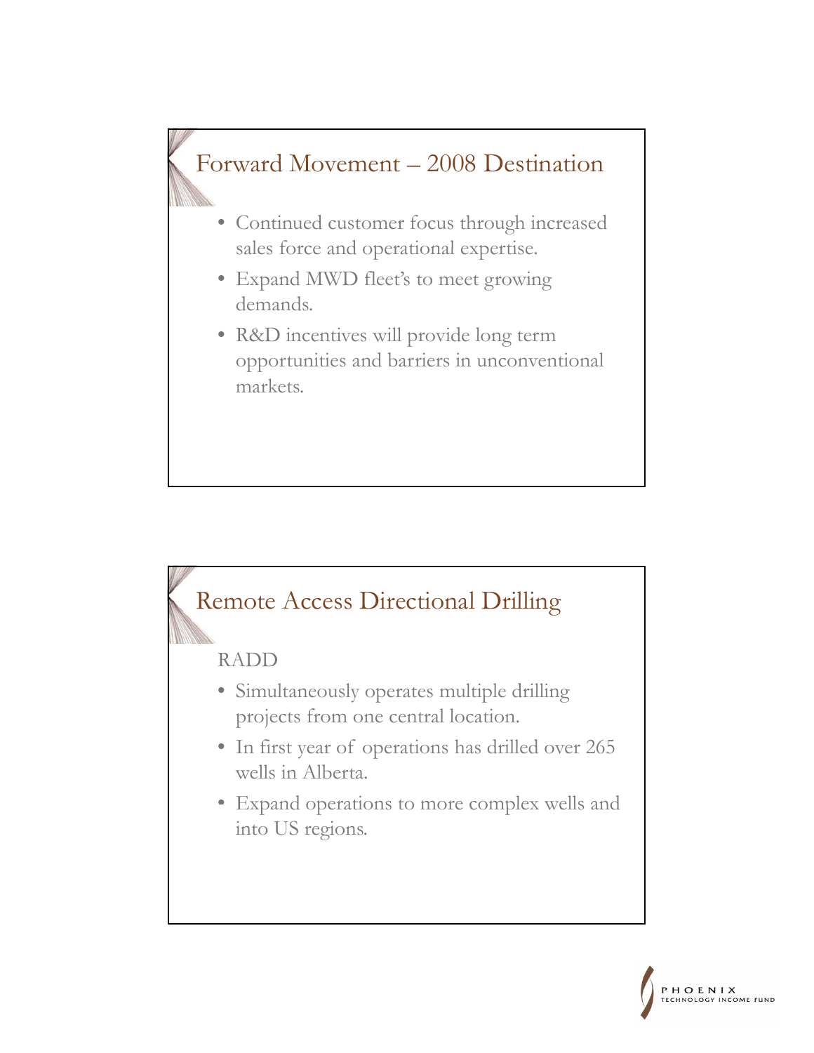



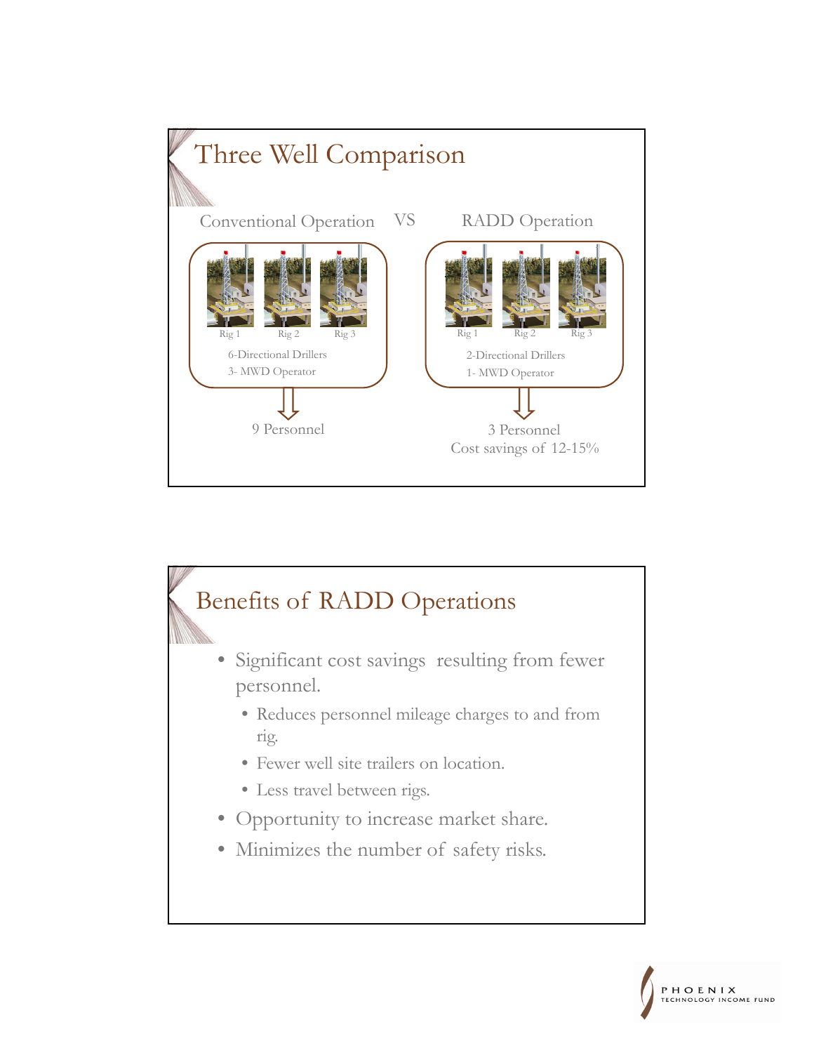

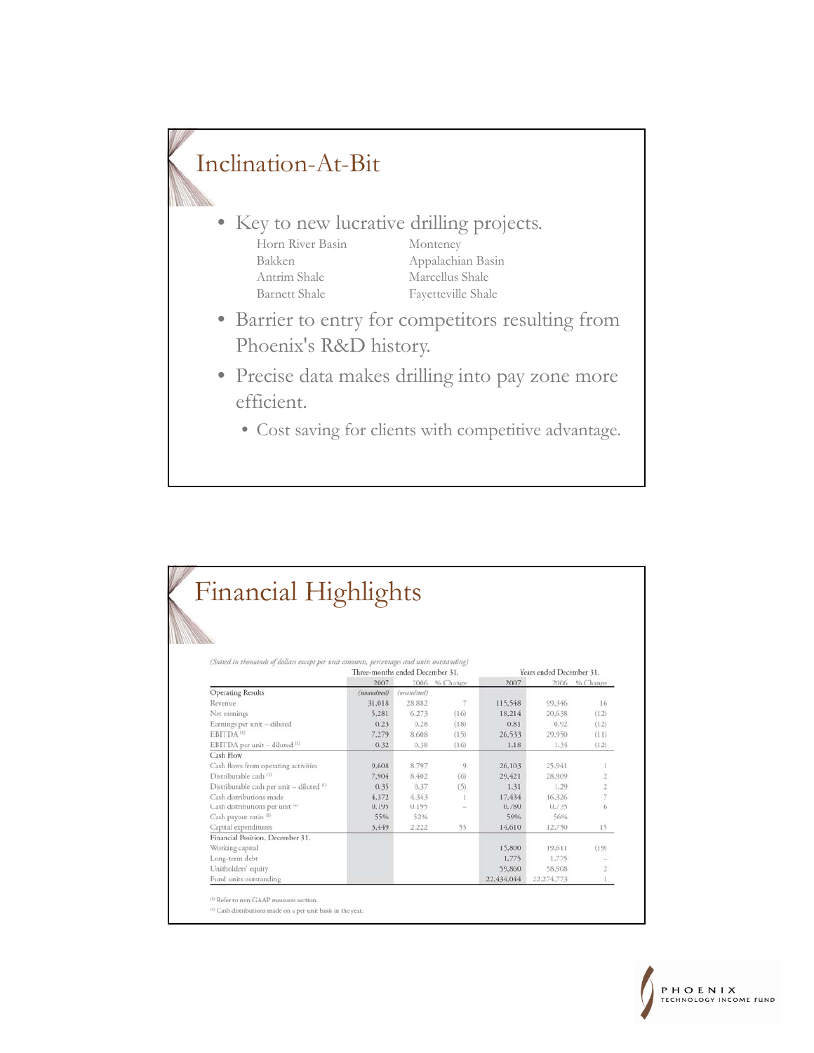## Inclination-At-Bit

- Key to new lucrative drilling projects. Horn River Basin Monteney Bakken Appalachian Basin Antrim Shale Marcellus Shale Barnett Shale Fayetteville Shale
- Barrier to entry for competitors resulting from Phoenix's R&D history.
- Precise data makes drilling into pay zone more efficient.
	- Cost saving for clients with competitive advantage.

|                                                                                             | <b>Financial Highlights</b> |                                 |               |            |                          |                         |  |  |  |  |
|---------------------------------------------------------------------------------------------|-----------------------------|---------------------------------|---------------|------------|--------------------------|-------------------------|--|--|--|--|
|                                                                                             |                             |                                 |               |            |                          |                         |  |  |  |  |
|                                                                                             |                             |                                 |               |            |                          |                         |  |  |  |  |
|                                                                                             |                             |                                 |               |            |                          |                         |  |  |  |  |
|                                                                                             |                             |                                 |               |            |                          |                         |  |  |  |  |
| (Stated in thousands of dollars except per unit amounts, percentages and units outstanding) |                             |                                 |               |            |                          |                         |  |  |  |  |
|                                                                                             |                             | Three-months ended December 31. |               |            | Years ended December 31. |                         |  |  |  |  |
|                                                                                             | 2007                        |                                 | 2006 % Change | 2007       |                          | 2006 % Change           |  |  |  |  |
| <b>Operating Results</b>                                                                    | (unaudited)                 | (unaudited)                     |               |            |                          |                         |  |  |  |  |
| Revenue                                                                                     | 31,018                      | 28.882                          | $\tau$        | 115,548    | 99,346                   | 16                      |  |  |  |  |
| Net earnings                                                                                | 5,281                       | 6,273                           | (16)          | 18,214     | 20,638                   | (12)                    |  |  |  |  |
| Earnings per unit - diluted                                                                 | 0.23                        | 0.28                            | (18)          | 0.81       | 0.92                     | (12)                    |  |  |  |  |
| EBITDA <sup>(1)</sup>                                                                       | 7.279                       | 8.608                           | (15)          | 26.533     | 29.950                   | (11)                    |  |  |  |  |
| EBITDA per unit - diluted (1)                                                               | 0.32                        | 0.38                            | (16)          | 1.18       | 1.34                     | (12)                    |  |  |  |  |
| Cash Flow                                                                                   |                             |                                 |               |            |                          |                         |  |  |  |  |
| Cash flows from operating activities                                                        | 9,608                       | 8,797                           | 9             | 26,103     | 25,941                   | 1                       |  |  |  |  |
| Distributable cash (1)                                                                      | 7.904                       | 8.402                           | (6)           | 29.421     | 28,909                   | $\overline{\mathbf{2}}$ |  |  |  |  |
| Distributable cash per unit - diluted (1)                                                   | 0.35                        | 0.37                            | (5)           | 1.31       | 1.29                     | $\overline{2}$          |  |  |  |  |
| Cash distributions made                                                                     | 4.372                       | 4.343                           |               | 17.434     | 16,326                   | 7                       |  |  |  |  |
| Cash distributions per unit (2)                                                             | 0.195                       | 0.195                           | $\sim$        | 0.780      | 0.735                    | $\overline{6}$          |  |  |  |  |
| Cash payout ratio (1)                                                                       | 55%                         | 52%                             |               | 59%        | 56%                      |                         |  |  |  |  |
| Capital expenditures                                                                        | 3,449                       | 2.222                           | 55            | 14.610     | 12,750                   | 15                      |  |  |  |  |
| Financial Position, December 31,                                                            |                             |                                 |               |            |                          |                         |  |  |  |  |
| Working capital                                                                             |                             |                                 |               | 15,800     | 19.611                   | (19)                    |  |  |  |  |
| Long-term debt                                                                              |                             |                                 |               | 1,775      | 1,775                    |                         |  |  |  |  |
| Unitholders' equity                                                                         |                             |                                 |               | 59.860     | 58,908                   | 2                       |  |  |  |  |
| Fund units outstanding                                                                      |                             |                                 |               | 22.434.044 | 22,274,773               |                         |  |  |  |  |

 $^{\rm{(2)}}$  Cash distributions made on a per unit basis in the year.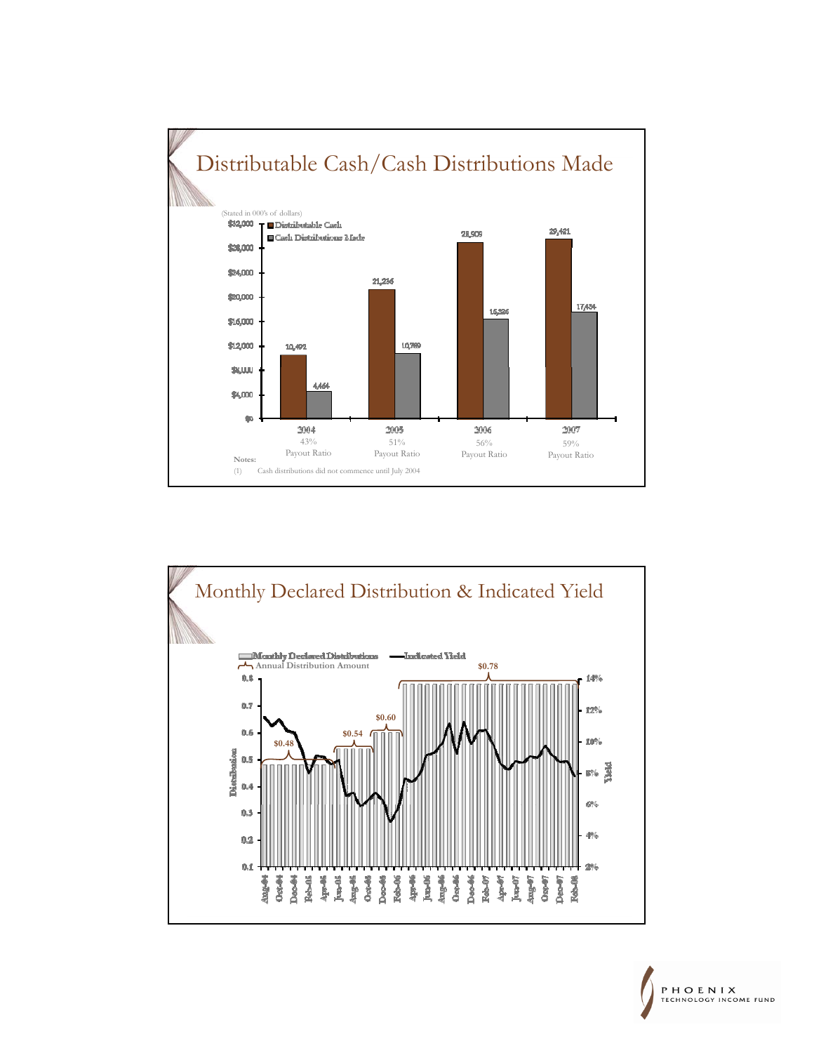